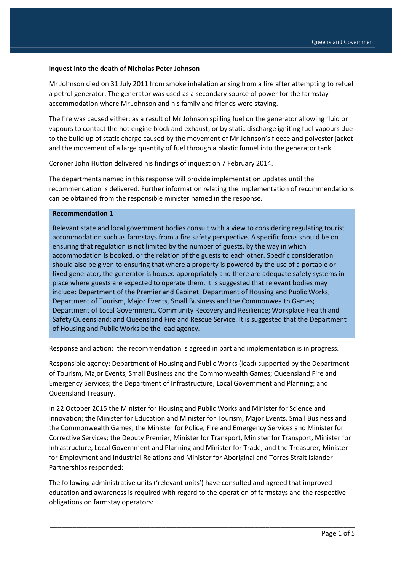#### **Inquest into the death of Nicholas Peter Johnson**

Mr Johnson died on 31 July 2011 from smoke inhalation arising from a fire after attempting to refuel a petrol generator. The generator was used as a secondary source of power for the farmstay accommodation where Mr Johnson and his family and friends were staying.

The fire was caused either: as a result of Mr Johnson spilling fuel on the generator allowing fluid or vapours to contact the hot engine block and exhaust; or by static discharge igniting fuel vapours due to the build up of static charge caused by the movement of Mr Johnson's fleece and polyester jacket and the movement of a large quantity of fuel through a plastic funnel into the generator tank.

Coroner John Hutton delivered his findings of inquest on 7 February 2014.

The departments named in this response will provide implementation updates until the recommendation is delivered. Further information relating the implementation of recommendations can be obtained from the responsible minister named in the response.

#### **Recommendation 1**

Relevant state and local government bodies consult with a view to considering regulating tourist accommodation such as farmstays from a fire safety perspective. A specific focus should be on ensuring that regulation is not limited by the number of guests, by the way in which accommodation is booked, or the relation of the guests to each other. Specific consideration should also be given to ensuring that where a property is powered by the use of a portable or fixed generator, the generator is housed appropriately and there are adequate safety systems in place where guests are expected to operate them. It is suggested that relevant bodies may include: Department of the Premier and Cabinet; Department of Housing and Public Works, Department of Tourism, Major Events, Small Business and the Commonwealth Games; Department of Local Government, Community Recovery and Resilience; Workplace Health and Safety Queensland; and Queensland Fire and Rescue Service. It is suggested that the Department of Housing and Public Works be the lead agency.

Response and action: the recommendation is agreed in part and implementation is in progress.

Responsible agency: Department of Housing and Public Works (lead) supported by the Department of Tourism, Major Events, Small Business and the Commonwealth Games; Queensland Fire and Emergency Services; the Department of Infrastructure, Local Government and Planning; and Queensland Treasury.

In 22 October 2015 the Minister for Housing and Public Works and Minister for Science and Innovation; the Minister for Education and Minister for Tourism, Major Events, Small Business and the Commonwealth Games; the Minister for Police, Fire and Emergency Services and Minister for Corrective Services; the Deputy Premier, Minister for Transport, Minister for Transport, Minister for Infrastructure, Local Government and Planning and Minister for Trade; and the Treasurer, Minister for Employment and Industrial Relations and Minister for Aboriginal and Torres Strait Islander Partnerships responded:

The following administrative units ('relevant units') have consulted and agreed that improved education and awareness is required with regard to the operation of farmstays and the respective obligations on farmstay operators: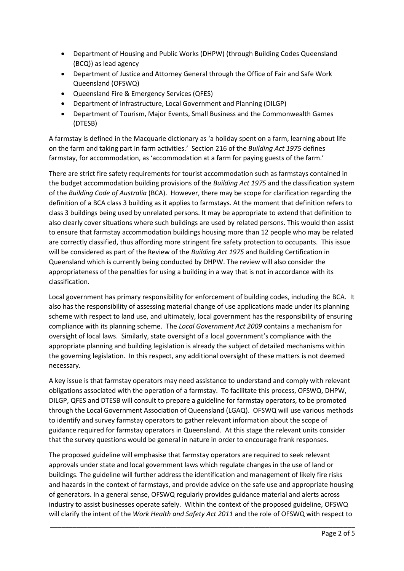- Department of Housing and Public Works (DHPW) (through Building Codes Queensland (BCQ)) as lead agency
- Department of Justice and Attorney General through the Office of Fair and Safe Work Queensland (OFSWQ)
- Queensland Fire & Emergency Services (QFES)
- Department of Infrastructure, Local Government and Planning (DILGP)
- Department of Tourism, Major Events, Small Business and the Commonwealth Games (DTESB)

A farmstay is defined in the Macquarie dictionary as 'a holiday spent on a farm, learning about life on the farm and taking part in farm activities.' Section 216 of the *Building Act 1975* defines farmstay, for accommodation, as 'accommodation at a farm for paying guests of the farm.'

There are strict fire safety requirements for tourist accommodation such as farmstays contained in the budget accommodation building provisions of the *Building Act 1975* and the classification system of the *Building Code of Australia* (BCA). However, there may be scope for clarification regarding the definition of a BCA class 3 building as it applies to farmstays. At the moment that definition refers to class 3 buildings being used by unrelated persons. It may be appropriate to extend that definition to also clearly cover situations where such buildings are used by related persons. This would then assist to ensure that farmstay accommodation buildings housing more than 12 people who may be related are correctly classified, thus affording more stringent fire safety protection to occupants. This issue will be considered as part of the Review of the *Building Act 1975* and Building Certification in Queensland which is currently being conducted by DHPW. The review will also consider the appropriateness of the penalties for using a building in a way that is not in accordance with its classification.

Local government has primary responsibility for enforcement of building codes, including the BCA. It also has the responsibility of assessing material change of use applications made under its planning scheme with respect to land use, and ultimately, local government has the responsibility of ensuring compliance with its planning scheme. The *Local Government Act 2009* contains a mechanism for oversight of local laws. Similarly, state oversight of a local government's compliance with the appropriate planning and building legislation is already the subject of detailed mechanisms within the governing legislation. In this respect, any additional oversight of these matters is not deemed necessary.

A key issue is that farmstay operators may need assistance to understand and comply with relevant obligations associated with the operation of a farmstay. To facilitate this process, OFSWQ, DHPW, DILGP, QFES and DTESB will consult to prepare a guideline for farmstay operators, to be promoted through the Local Government Association of Queensland (LGAQ). OFSWQ will use various methods to identify and survey farmstay operators to gather relevant information about the scope of guidance required for farmstay operators in Queensland. At this stage the relevant units consider that the survey questions would be general in nature in order to encourage frank responses.

The proposed guideline will emphasise that farmstay operators are required to seek relevant approvals under state and local government laws which regulate changes in the use of land or buildings. The guideline will further address the identification and management of likely fire risks and hazards in the context of farmstays, and provide advice on the safe use and appropriate housing of generators. In a general sense, OFSWQ regularly provides guidance material and alerts across industry to assist businesses operate safely. Within the context of the proposed guideline, OFSWQ will clarify the intent of the *Work Health and Safety Act 2011* and the role of OFSWQ with respect to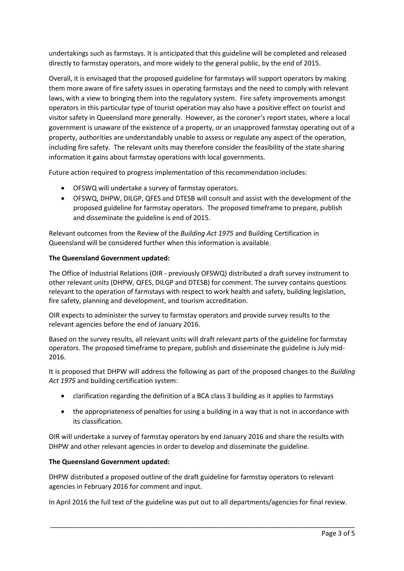undertakings such as farmstays. It is anticipated that this guideline will be completed and released directly to farmstay operators, and more widely to the general public, by the end of 2015.

Overall, it is envisaged that the proposed guideline for farmstays will support operators by making them more aware of fire safety issues in operating farmstays and the need to comply with relevant laws, with a view to bringing them into the regulatory system. Fire safety improvements amongst operators in this particular type of tourist operation may also have a positive effect on tourist and visitor safety in Queensland more generally. However, as the coroner's report states, where a local government is unaware of the existence of a property, or an unapproved farmstay operating out of a property, authorities are understandably unable to assess or regulate any aspect of the operation, including fire safety. The relevant units may therefore consider the feasibility of the state sharing information it gains about farmstay operations with local governments.

Future action required to progress implementation of this recommendation includes:

- OFSWQ will undertake a survey of farmstay operators.
- OFSWQ, DHPW, DILGP, QFES and DTESB will consult and assist with the development of the proposed guideline for farmstay operators. The proposed timeframe to prepare, publish and disseminate the guideline is end of 2015.

Relevant outcomes from the Review of the *Building Act 1975* and Building Certification in Queensland will be considered further when this information is available.

# **The Queensland Government updated:**

The Office of Industrial Relations (OIR - previously OFSWQ) distributed a draft survey instrument to other relevant units (DHPW, QFES, DILGP and DTESB) for comment. The survey contains questions relevant to the operation of farmstays with respect to work health and safety, building legislation, fire safety, planning and development, and tourism accreditation.

OIR expects to administer the survey to farmstay operators and provide survey results to the relevant agencies before the end of January 2016.

Based on the survey results, all relevant units will draft relevant parts of the guideline for farmstay operators. The proposed timeframe to prepare, publish and disseminate the guideline is July mid-2016.

It is proposed that DHPW will address the following as part of the proposed changes to the *Building Act 1975* and building certification system:

- clarification regarding the definition of a BCA class 3 building as it applies to farmstays
- the appropriateness of penalties for using a building in a way that is not in accordance with its classification.

OIR will undertake a survey of farmstay operators by end January 2016 and share the results with DHPW and other relevant agencies in order to develop and disseminate the guideline.

### **The Queensland Government updated:**

DHPW distributed a proposed outline of the draft guideline for farmstay operators to relevant agencies in February 2016 for comment and input.

In April 2016 the full text of the guideline was put out to all departments/agencies for final review.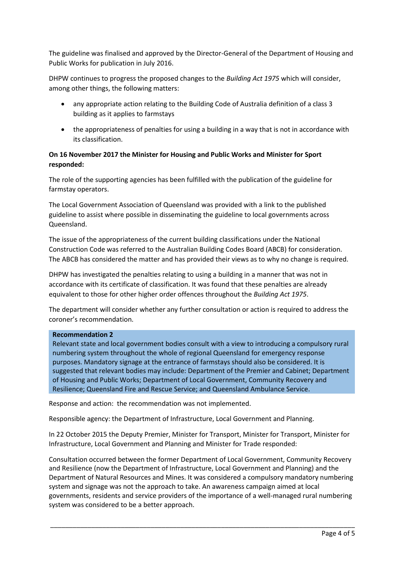The guideline was finalised and approved by the Director-General of the Department of Housing and Public Works for publication in July 2016.

DHPW continues to progress the proposed changes to the *Building Act 1975* which will consider, among other things, the following matters:

- any appropriate action relating to the Building Code of Australia definition of a class 3 building as it applies to farmstays
- the appropriateness of penalties for using a building in a way that is not in accordance with its classification.

# **On 16 November 2017 the Minister for Housing and Public Works and Minister for Sport responded:**

The role of the supporting agencies has been fulfilled with the publication of the guideline for farmstay operators.

The Local Government Association of Queensland was provided with a link to the published guideline to assist where possible in disseminating the guideline to local governments across Queensland.

The issue of the appropriateness of the current building classifications under the National Construction Code was referred to the Australian Building Codes Board (ABCB) for consideration. The ABCB has considered the matter and has provided their views as to why no change is required.

DHPW has investigated the penalties relating to using a building in a manner that was not in accordance with its certificate of classification. It was found that these penalties are already equivalent to those for other higher order offences throughout the *Building Act 1975*.

The department will consider whether any further consultation or action is required to address the coroner's recommendation.

### **Recommendation 2**

Relevant state and local government bodies consult with a view to introducing a compulsory rural numbering system throughout the whole of regional Queensland for emergency response purposes. Mandatory signage at the entrance of farmstays should also be considered. It is suggested that relevant bodies may include: Department of the Premier and Cabinet; Department of Housing and Public Works; Department of Local Government, Community Recovery and Resilience; Queensland Fire and Rescue Service; and Queensland Ambulance Service.

Response and action: the recommendation was not implemented.

Responsible agency: the Department of Infrastructure, Local Government and Planning.

In 22 October 2015 the Deputy Premier, Minister for Transport, Minister for Transport, Minister for Infrastructure, Local Government and Planning and Minister for Trade responded:

Consultation occurred between the former Department of Local Government, Community Recovery and Resilience (now the Department of Infrastructure, Local Government and Planning) and the Department of Natural Resources and Mines. It was considered a compulsory mandatory numbering system and signage was not the approach to take. An awareness campaign aimed at local governments, residents and service providers of the importance of a well-managed rural numbering system was considered to be a better approach.